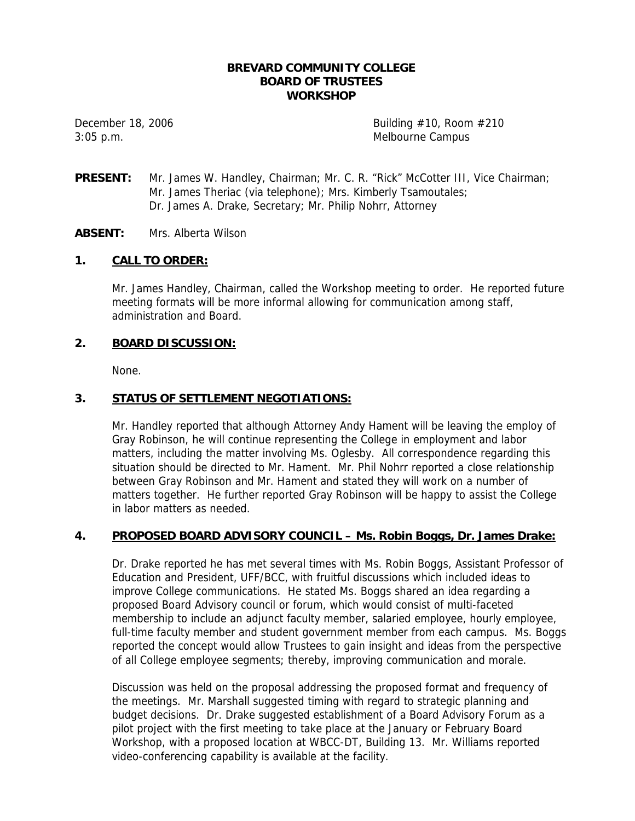#### **BREVARD COMMUNITY COLLEGE BOARD OF TRUSTEES WORKSHOP**

3:05 p.m. Melbourne Campus

December 18, 2006  $\qquad \qquad$  Building #10, Room #210

**PRESENT:** Mr. James W. Handley, Chairman; Mr. C. R. "Rick" McCotter III, Vice Chairman; Mr. James Theriac (via telephone); Mrs. Kimberly Tsamoutales; Dr. James A. Drake, Secretary; Mr. Philip Nohrr, Attorney

## **ABSENT:** Mrs. Alberta Wilson

#### **1. CALL TO ORDER:**

Mr. James Handley, Chairman, called the Workshop meeting to order. He reported future meeting formats will be more informal allowing for communication among staff, administration and Board.

#### **2. BOARD DISCUSSION:**

None.

## **3. STATUS OF SETTLEMENT NEGOTIATIONS:**

Mr. Handley reported that although Attorney Andy Hament will be leaving the employ of Gray Robinson, he will continue representing the College in employment and labor matters, including the matter involving Ms. Oglesby. All correspondence regarding this situation should be directed to Mr. Hament. Mr. Phil Nohrr reported a close relationship between Gray Robinson and Mr. Hament and stated they will work on a number of matters together. He further reported Gray Robinson will be happy to assist the College in labor matters as needed.

#### **4. PROPOSED BOARD ADVISORY COUNCIL – Ms. Robin Boggs, Dr. James Drake:**

Dr. Drake reported he has met several times with Ms. Robin Boggs, Assistant Professor of Education and President, UFF/BCC, with fruitful discussions which included ideas to improve College communications. He stated Ms. Boggs shared an idea regarding a proposed Board Advisory council or forum, which would consist of multi-faceted membership to include an adjunct faculty member, salaried employee, hourly employee, full-time faculty member and student government member from each campus. Ms. Boggs reported the concept would allow Trustees to gain insight and ideas from the perspective of all College employee segments; thereby, improving communication and morale.

Discussion was held on the proposal addressing the proposed format and frequency of the meetings. Mr. Marshall suggested timing with regard to strategic planning and budget decisions. Dr. Drake suggested establishment of a Board Advisory Forum as a pilot project with the first meeting to take place at the January or February Board Workshop, with a proposed location at WBCC-DT, Building 13. Mr. Williams reported video-conferencing capability is available at the facility.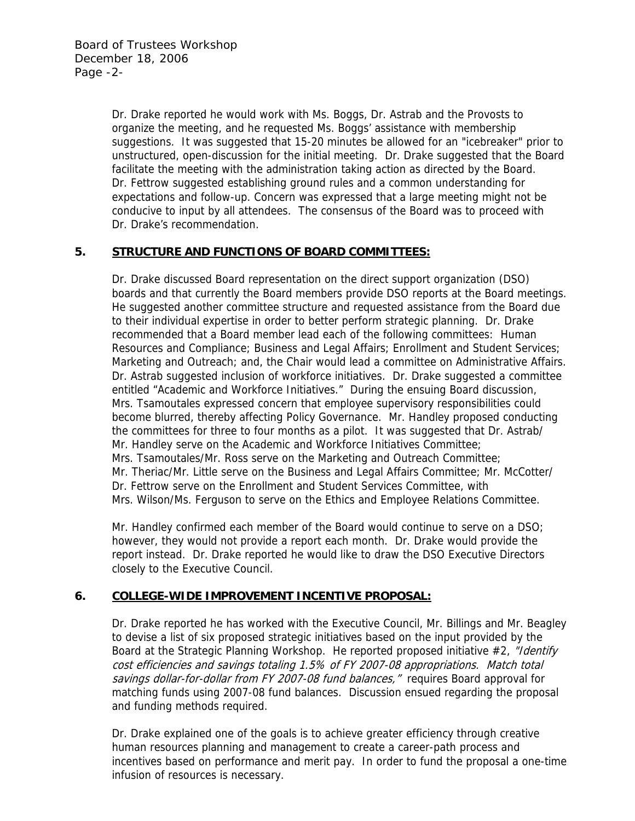Dr. Drake reported he would work with Ms. Boggs, Dr. Astrab and the Provosts to organize the meeting, and he requested Ms. Boggs' assistance with membership suggestions. It was suggested that 15-20 minutes be allowed for an "icebreaker" prior to unstructured, open-discussion for the initial meeting. Dr. Drake suggested that the Board facilitate the meeting with the administration taking action as directed by the Board. Dr. Fettrow suggested establishing ground rules and a common understanding for expectations and follow-up. Concern was expressed that a large meeting might not be conducive to input by all attendees. The consensus of the Board was to proceed with Dr. Drake's recommendation.

## **5. STRUCTURE AND FUNCTIONS OF BOARD COMMITTEES:**

Dr. Drake discussed Board representation on the direct support organization (DSO) boards and that currently the Board members provide DSO reports at the Board meetings. He suggested another committee structure and requested assistance from the Board due to their individual expertise in order to better perform strategic planning. Dr. Drake recommended that a Board member lead each of the following committees: Human Resources and Compliance; Business and Legal Affairs; Enrollment and Student Services; Marketing and Outreach; and, the Chair would lead a committee on Administrative Affairs. Dr. Astrab suggested inclusion of workforce initiatives. Dr. Drake suggested a committee entitled "Academic and Workforce Initiatives." During the ensuing Board discussion, Mrs. Tsamoutales expressed concern that employee supervisory responsibilities could become blurred, thereby affecting Policy Governance. Mr. Handley proposed conducting the committees for three to four months as a pilot. It was suggested that Dr. Astrab/ Mr. Handley serve on the Academic and Workforce Initiatives Committee; Mrs. Tsamoutales/Mr. Ross serve on the Marketing and Outreach Committee; Mr. Theriac/Mr. Little serve on the Business and Legal Affairs Committee; Mr. McCotter/ Dr. Fettrow serve on the Enrollment and Student Services Committee, with Mrs. Wilson/Ms. Ferguson to serve on the Ethics and Employee Relations Committee.

Mr. Handley confirmed each member of the Board would continue to serve on a DSO; however, they would not provide a report each month. Dr. Drake would provide the report instead. Dr. Drake reported he would like to draw the DSO Executive Directors closely to the Executive Council.

# **6. COLLEGE-WIDE IMPROVEMENT INCENTIVE PROPOSAL:**

Dr. Drake reported he has worked with the Executive Council, Mr. Billings and Mr. Beagley to devise a list of six proposed strategic initiatives based on the input provided by the Board at the Strategic Planning Workshop. He reported proposed initiative #2, "Identify cost efficiencies and savings totaling 1.5% of FY 2007-08 appropriations. Match total savings dollar-for-dollar from FY 2007-08 fund balances," requires Board approval for matching funds using 2007-08 fund balances. Discussion ensued regarding the proposal and funding methods required.

Dr. Drake explained one of the goals is to achieve greater efficiency through creative human resources planning and management to create a career-path process and incentives based on performance and merit pay. In order to fund the proposal a one-time infusion of resources is necessary.